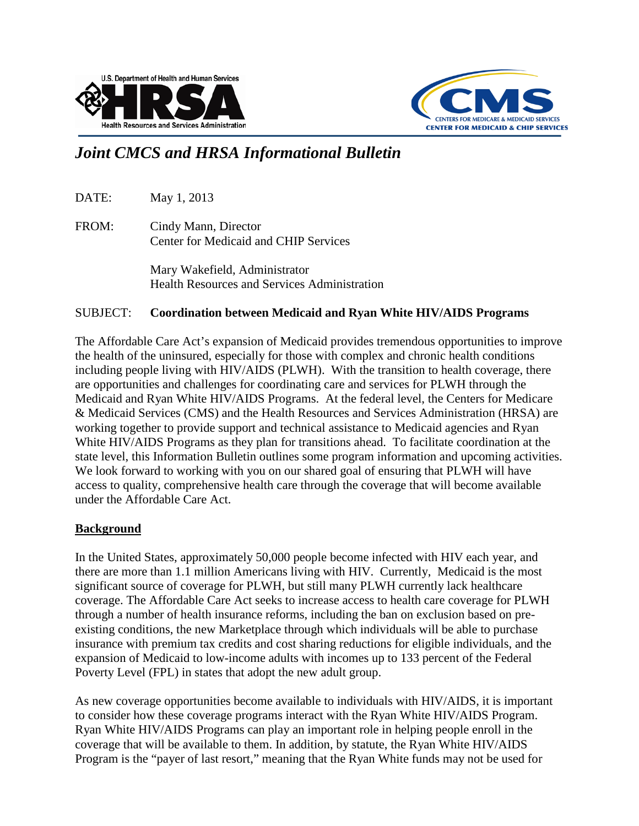



# *Joint CMCS and HRSA Informational Bulletin*

DATE: May 1, 2013

FROM: Cindy Mann, Director Center for Medicaid and CHIP Services

> Mary Wakefield, Administrator Health Resources and Services Administration

### SUBJECT: **Coordination between Medicaid and Ryan White HIV/AIDS Programs**

The Affordable Care Act's expansion of Medicaid provides tremendous opportunities to improve the health of the uninsured, especially for those with complex and chronic health conditions including people living with HIV/AIDS (PLWH). With the transition to health coverage, there are opportunities and challenges for coordinating care and services for PLWH through the Medicaid and Ryan White HIV/AIDS Programs. At the federal level, the Centers for Medicare & Medicaid Services (CMS) and the Health Resources and Services Administration (HRSA) are working together to provide support and technical assistance to Medicaid agencies and Ryan White HIV/AIDS Programs as they plan for transitions ahead. To facilitate coordination at the state level, this Information Bulletin outlines some program information and upcoming activities. We look forward to working with you on our shared goal of ensuring that PLWH will have access to quality, comprehensive health care through the coverage that will become available under the Affordable Care Act.

#### **Background**

In the United States, approximately 50,000 people become infected with HIV each year, and there are more than 1.1 million Americans living with HIV. Currently, Medicaid is the most significant source of coverage for PLWH, but still many PLWH currently lack healthcare coverage. The Affordable Care Act seeks to increase access to health care coverage for PLWH through a number of health insurance reforms, including the ban on exclusion based on preexisting conditions, the new Marketplace through which individuals will be able to purchase insurance with premium tax credits and cost sharing reductions for eligible individuals, and the expansion of Medicaid to low-income adults with incomes up to 133 percent of the Federal Poverty Level (FPL) in states that adopt the new adult group.

As new coverage opportunities become available to individuals with HIV/AIDS, it is important to consider how these coverage programs interact with the Ryan White HIV/AIDS Program. Ryan White HIV/AIDS Programs can play an important role in helping people enroll in the coverage that will be available to them. In addition, by statute, the Ryan White HIV/AIDS Program is the "payer of last resort," meaning that the Ryan White funds may not be used for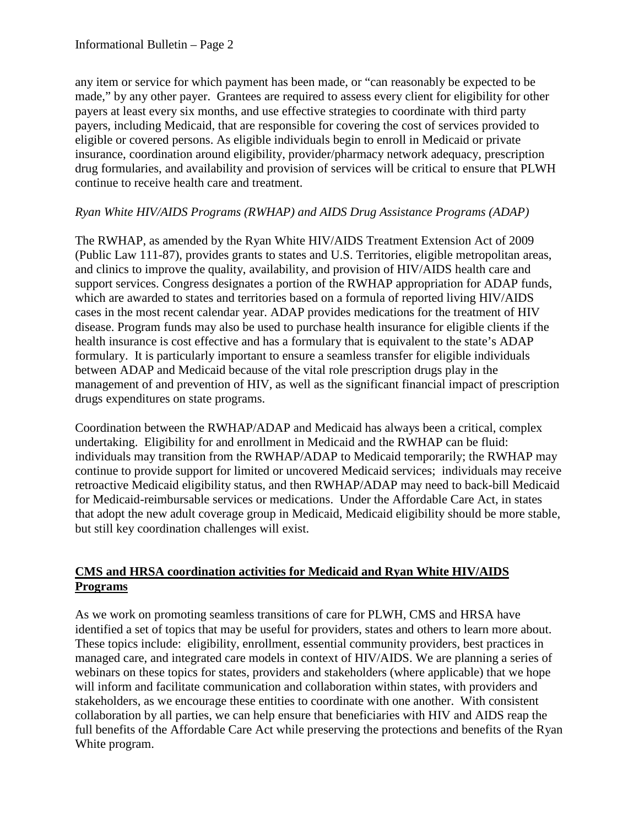any item or service for which payment has been made, or "can reasonably be expected to be made," by any other payer. Grantees are required to assess every client for eligibility for other payers at least every six months, and use effective strategies to coordinate with third party payers, including Medicaid, that are responsible for covering the cost of services provided to eligible or covered persons. As eligible individuals begin to enroll in Medicaid or private insurance, coordination around eligibility, provider/pharmacy network adequacy, prescription drug formularies, and availability and provision of services will be critical to ensure that PLWH continue to receive health care and treatment.

## *Ryan White HIV/AIDS Programs (RWHAP) and AIDS Drug Assistance Programs (ADAP)*

The RWHAP, as amended by the Ryan White HIV/AIDS Treatment Extension Act of 2009 (Public Law 111-87), provides grants to states and U.S. Territories, eligible metropolitan areas, and clinics to improve the quality, availability, and provision of HIV/AIDS health care and support services. Congress designates a portion of the RWHAP appropriation for ADAP funds, which are awarded to states and territories based on a formula of reported living HIV/AIDS cases in the most recent calendar year. ADAP provides medications for the treatment of HIV disease. Program funds may also be used to purchase health insurance for eligible clients if the health insurance is cost effective and has a formulary that is equivalent to the state's ADAP formulary. It is particularly important to ensure a seamless transfer for eligible individuals between ADAP and Medicaid because of the vital role prescription drugs play in the management of and prevention of HIV, as well as the significant financial impact of prescription drugs expenditures on state programs.

Coordination between the RWHAP/ADAP and Medicaid has always been a critical, complex undertaking. Eligibility for and enrollment in Medicaid and the RWHAP can be fluid: individuals may transition from the RWHAP/ADAP to Medicaid temporarily; the RWHAP may continue to provide support for limited or uncovered Medicaid services; individuals may receive retroactive Medicaid eligibility status, and then RWHAP/ADAP may need to back-bill Medicaid for Medicaid-reimbursable services or medications. Under the Affordable Care Act, in states that adopt the new adult coverage group in Medicaid, Medicaid eligibility should be more stable, but still key coordination challenges will exist.

## **CMS and HRSA coordination activities for Medicaid and Ryan White HIV/AIDS Programs**

As we work on promoting seamless transitions of care for PLWH, CMS and HRSA have identified a set of topics that may be useful for providers, states and others to learn more about. These topics include: eligibility, enrollment, essential community providers, best practices in managed care, and integrated care models in context of HIV/AIDS. We are planning a series of webinars on these topics for states, providers and stakeholders (where applicable) that we hope will inform and facilitate communication and collaboration within states, with providers and stakeholders, as we encourage these entities to coordinate with one another. With consistent collaboration by all parties, we can help ensure that beneficiaries with HIV and AIDS reap the full benefits of the Affordable Care Act while preserving the protections and benefits of the Ryan White program.